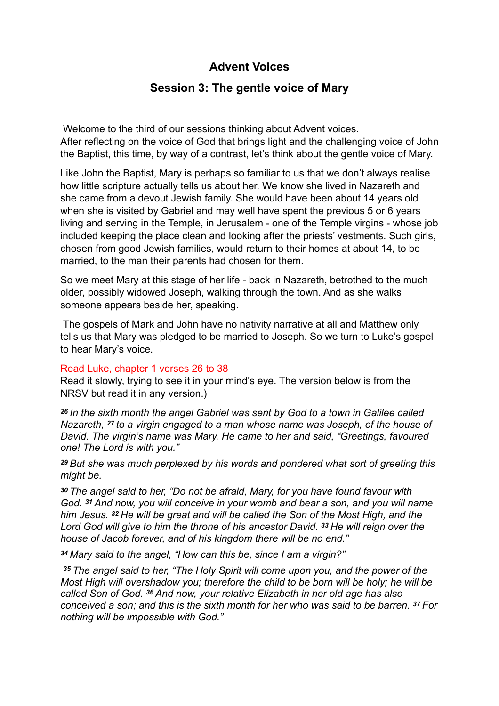# **Advent Voices**

## **Session 3: The gentle voice of Mary**

 Welcome to the third of our sessions thinking about Advent voices. After reflecting on the voice of God that brings light and the challenging voice of John the Baptist, this time, by way of a contrast, let's think about the gentle voice of Mary.

Like John the Baptist, Mary is perhaps so familiar to us that we don't always realise how little scripture actually tells us about her. We know she lived in Nazareth and she came from a devout Jewish family. She would have been about 14 years old when she is visited by Gabriel and may well have spent the previous 5 or 6 years living and serving in the Temple, in Jerusalem - one of the Temple virgins - whose job included keeping the place clean and looking after the priests' vestments. Such girls, chosen from good Jewish families, would return to their homes at about 14, to be married, to the man their parents had chosen for them.

So we meet Mary at this stage of her life - back in Nazareth, betrothed to the much older, possibly widowed Joseph, walking through the town. And as she walks someone appears beside her, speaking.

 The gospels of Mark and John have no nativity narrative at all and Matthew only tells us that Mary was pledged to be married to Joseph. So we turn to Luke's gospel to hear Mary's voice.

### Read Luke, chapter 1 verses 26 to 38

Read it slowly, trying to see it in your mind's eye. The version below is from the NRSV but read it in any version.)

*<sup>26</sup>In the sixth month the angel Gabriel was sent by God to a town in Galilee called Nazareth, 27 to a virgin engaged to a man whose name was Joseph, of the house of David. The virgin's name was Mary. He came to her and said, "Greetings, favoured one! The Lord is with you."* 

*<sup>29</sup>But she was much perplexed by his words and pondered what sort of greeting this might be.* 

*<sup>30</sup>The angel said to her, "Do not be afraid, Mary, for you have found favour with God. 31 And now, you will conceive in your womb and bear a son, and you will name him Jesus. 32 He will be great and will be called the Son of the Most High, and the Lord God will give to him the throne of his ancestor David. 33 He will reign over the house of Jacob forever, and of his kingdom there will be no end."* 

*<sup>34</sup>Mary said to the angel, "How can this be, since I am a virgin?"*

*<sup>35</sup>The angel said to her, "The Holy Spirit will come upon you, and the power of the Most High will overshadow you; therefore the child to be born will be holy; he will be called Son of God. 36 And now, your relative Elizabeth in her old age has also conceived a son; and this is the sixth month for her who was said to be barren. 37 For nothing will be impossible with God."*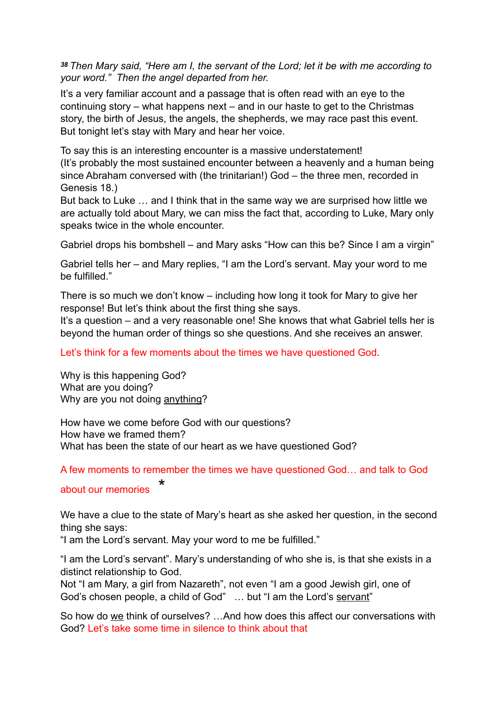*<sup>38</sup>Then Mary said, "Here am I, the servant of the Lord; let it be with me according to your word." Then the angel departed from her.*

It's a very familiar account and a passage that is often read with an eye to the continuing story – what happens next – and in our haste to get to the Christmas story, the birth of Jesus, the angels, the shepherds, we may race past this event. But tonight let's stay with Mary and hear her voice.

To say this is an interesting encounter is a massive understatement! (It's probably the most sustained encounter between a heavenly and a human being since Abraham conversed with (the trinitarian!) God – the three men, recorded in Genesis 18.)

But back to Luke … and I think that in the same way we are surprised how little we are actually told about Mary, we can miss the fact that, according to Luke, Mary only speaks twice in the whole encounter.

Gabriel drops his bombshell – and Mary asks "How can this be? Since I am a virgin"

Gabriel tells her – and Mary replies, "I am the Lord's servant. May your word to me be fulfilled."

There is so much we don't know – including how long it took for Mary to give her response! But let's think about the first thing she says.

It's a question – and a very reasonable one! She knows that what Gabriel tells her is beyond the human order of things so she questions. And she receives an answer.

Let's think for a few moments about the times we have questioned God.

Why is this happening God? What are you doing? Why are you not doing anything?

How have we come before God with our questions? How have we framed them? What has been the state of our heart as we have questioned God?

A few moments to remember the times we have questioned God… and talk to God

### about our memories

We have a clue to the state of Mary's heart as she asked her question, in the second thing she says:

"I am the Lord's servant. May your word to me be fulfilled."

"I am the Lord's servant". Mary's understanding of who she is, is that she exists in a distinct relationship to God.

Not "I am Mary, a girl from Nazareth", not even "I am a good Jewish girl, one of God's chosen people, a child of God" ... but "I am the Lord's servant"

So how do we think of ourselves? …And how does this affect our conversations with God? Let's take some time in silence to think about that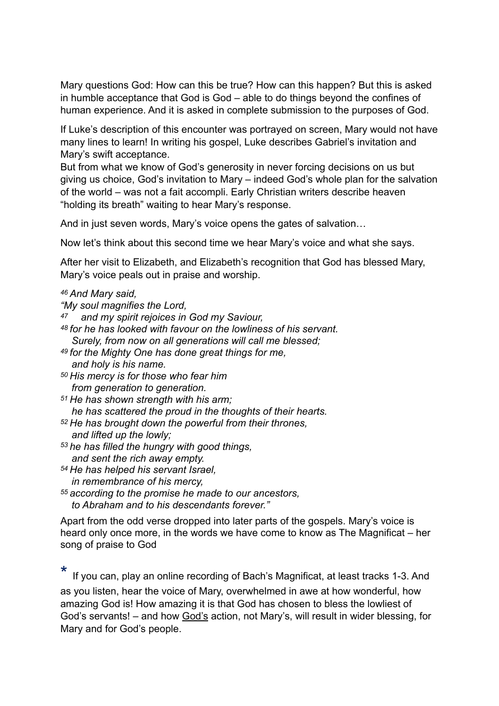Mary questions God: How can this be true? How can this happen? But this is asked in humble acceptance that God is God – able to do things beyond the confines of human experience. And it is asked in complete submission to the purposes of God.

If Luke's description of this encounter was portrayed on screen, Mary would not have many lines to learn! In writing his gospel, Luke describes Gabriel's invitation and Mary's swift acceptance.

But from what we know of God's generosity in never forcing decisions on us but giving us choice, God's invitation to Mary – indeed God's whole plan for the salvation of the world – was not a fait accompli. Early Christian writers describe heaven "holding its breath" waiting to hear Mary's response.

And in just seven words, Mary's voice opens the gates of salvation…

Now let's think about this second time we hear Mary's voice and what she says.

After her visit to Elizabeth, and Elizabeth's recognition that God has blessed Mary, Mary's voice peals out in praise and worship.

### *46 And Mary said,*

*"My soul magnifies the Lord,*

- *47 and my spirit rejoices in God my Saviour,*
- *48 for he has looked with favour on the lowliness of his servant. Surely, from now on all generations will call me blessed;*
- *49 for the Mighty One has done great things for me, and holy is his name.*
- *50 His mercy is for those who fear him from generation to generation.*

*51 He has shown strength with his arm; he has scattered the proud in the thoughts of their hearts.*

- *52 He has brought down the powerful from their thrones, and lifted up the lowly;*
- *53 he has filled the hungry with good things, and sent the rich away empty.*
- *54 He has helped his servant Israel,*
- *in remembrance of his mercy,*

*55 according to the promise he made to our ancestors,*

 *to Abraham and to his descendants forever."*

Apart from the odd verse dropped into later parts of the gospels. Mary's voice is heard only once more, in the words we have come to know as The Magnificat – her song of praise to God

If you can, play an online recording of Bach's Magnificat, at least tracks 1-3. And as you listen, hear the voice of Mary, overwhelmed in awe at how wonderful, how amazing God is! How amazing it is that God has chosen to bless the lowliest of God's servants! – and how God's action, not Mary's, will result in wider blessing, for Mary and for God's people.